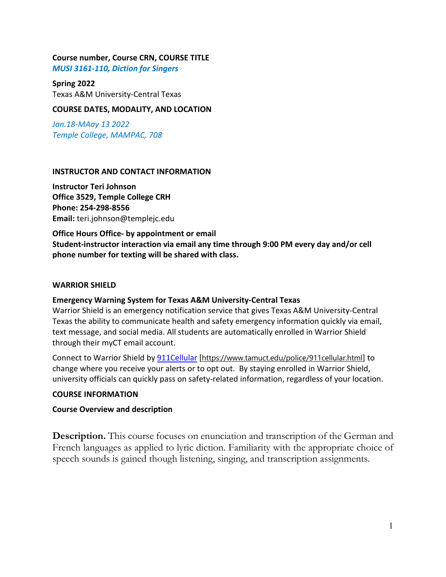### **Course number, Course CRN, COURSE TITLE**

*MUSI 3161-110, Diction for Singers*

#### **Spring 2022**

Texas A&M University-Central Texas

### **COURSE DATES, MODALITY, AND LOCATION**

*Jan.18-MAay 13 2022 Temple College, MAMPAC, 708*

### **INSTRUCTOR AND CONTACT INFORMATION**

**Instructor Teri Johnson Office 3529, Temple College CRH Phone: 254-298-8556 Email:** teri.johnson@templejc.edu

**Office Hours Office- by appointment or email Student-instructor interaction via email any time through 9:00 PM every day and/or cell phone number for texting will be shared with class.**

#### **WARRIOR SHIELD**

### **Emergency Warning System for Texas A&M University-Central Texas**

Warrior Shield is an emergency notification service that gives Texas A&M University-Central Texas the ability to communicate health and safety emergency information quickly via email, text message, and social media. All students are automatically enrolled in Warrior Shield through their myCT email account.

Connect to Warrior Shield b[y 911Cellular](https://www.tamuct.edu/police/911cellular.html) [<https://www.tamuct.edu/police/911cellular.html>] to change where you receive your alerts or to opt out. By staying enrolled in Warrior Shield, university officials can quickly pass on safety-related information, regardless of your location.

### **COURSE INFORMATION**

### **Course Overview and description**

**Description.** This course focuses on enunciation and transcription of the German and French languages as applied to lyric diction. Familiarity with the appropriate choice of speech sounds is gained though listening, singing, and transcription assignments.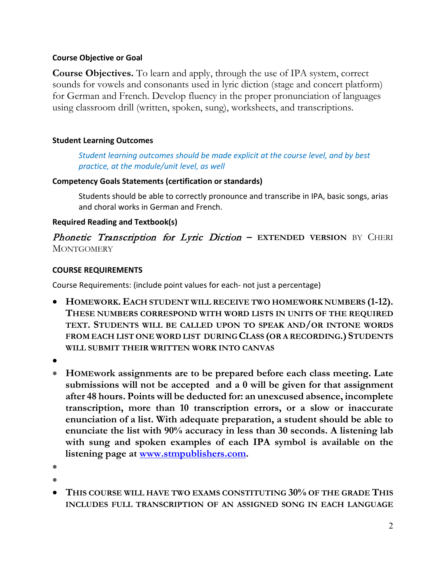# **Course Objective or Goal**

**Course Objectives.** To learn and apply, through the use of IPA system, correct sounds for vowels and consonants used in lyric diction (stage and concert platform) for German and French. Develop fluency in the proper pronunciation of languages using classroom drill (written, spoken, sung), worksheets, and transcriptions.

# **Student Learning Outcomes**

*Student learning outcomes should be made explicit at the course level, and by best practice, at the module/unit level, as well*

# **Competency Goals Statements (certification or standards)**

Students should be able to correctly pronounce and transcribe in IPA, basic songs, arias and choral works in German and French.

# **Required Reading and Textbook(s)**

# **Phonetic Transcription for Lyric Diction – EXTENDED VERSION** BY CHERI **MONTGOMERY**

# **COURSE REQUIREMENTS**

Course Requirements: (include point values for each- not just a percentage)

- **HOMEWORK. EACH STUDENT WILL RECEIVE TWO HOMEWORK NUMBERS (1-12). THESE NUMBERS CORRESPOND WITH WORD LISTS IN UNITS OF THE REQUIRED TEXT. STUDENTS WILL BE CALLED UPON TO SPEAK AND/OR INTONE WORDS FROM EACH LIST ONE WORD LIST DURING CLASS (OR A RECORDING.) STUDENTS WILL SUBMIT THEIR WRITTEN WORK INTO CANVAS**
- •
- **HOMEwork assignments are to be prepared before each class meeting. Late submissions will not be accepted and a 0 will be given for that assignment after 48 hours. Points will be deducted for: an unexcused absence, incomplete transcription, more than 10 transcription errors, or a slow or inaccurate enunciation of a list. With adequate preparation, a student should be able to enunciate the list with 90% accuracy in less than 30 seconds. A listening lab with sung and spoken examples of each IPA symbol is available on the listening page at [www.stmpublishers.com.](http://www.stmpublishers.com/)**
- •
- •
- **THIS COURSE WILL HAVE TWO EXAMS CONSTITUTING 30% OF THE GRADE THIS INCLUDES FULL TRANSCRIPTION OF AN ASSIGNED SONG IN EACH LANGUAGE**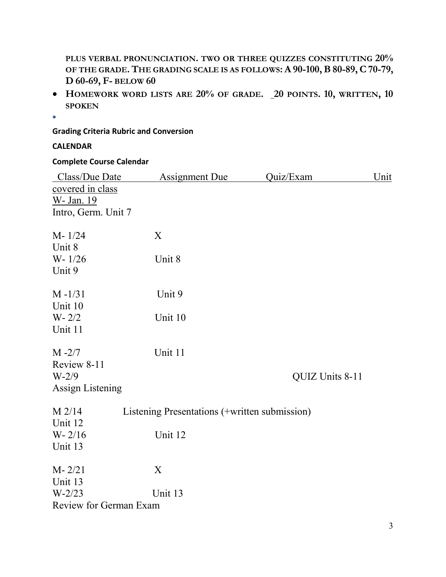**PLUS VERBAL PRONUNCIATION. TWO OR THREE QUIZZES CONSTITUTING 20% OF THE GRADE.THE GRADING SCALE IS AS FOLLOWS: A 90-100,B80-89,C70-79, D 60-69, F- BELOW 60**

- **HOMEWORK WORD LISTS ARE 20% OF GRADE. 20 POINTS. 10, WRITTEN, 10 SPOKEN**
- $\bullet$

# **Grading Criteria Rubric and Conversion**

# **CALENDAR**

# **Complete Course Calendar**

| Class/Due Date          | <b>Assignment Due</b>                         | Quiz/Exam       | Unit |
|-------------------------|-----------------------------------------------|-----------------|------|
| covered in class        |                                               |                 |      |
| W- Jan. 19              |                                               |                 |      |
| Intro, Germ. Unit 7     |                                               |                 |      |
|                         |                                               |                 |      |
| $M - 1/24$              | X                                             |                 |      |
| Unit 8                  |                                               |                 |      |
| $W - 1/26$              | Unit 8                                        |                 |      |
| Unit 9                  |                                               |                 |      |
|                         |                                               |                 |      |
| $M - 1/31$              | Unit 9                                        |                 |      |
| Unit 10                 |                                               |                 |      |
| $W - 2/2$               | Unit 10                                       |                 |      |
| Unit 11                 |                                               |                 |      |
|                         |                                               |                 |      |
| $M - 2/7$               | Unit 11                                       |                 |      |
| Review 8-11             |                                               |                 |      |
| $W-2/9$                 |                                               | QUIZ Units 8-11 |      |
| <b>Assign Listening</b> |                                               |                 |      |
| $M$ 2/14                | Listening Presentations (+written submission) |                 |      |
| Unit 12                 |                                               |                 |      |
| $W - 2/16$              | Unit 12                                       |                 |      |
| Unit 13                 |                                               |                 |      |
|                         |                                               |                 |      |
| $M - 2/21$              | X                                             |                 |      |
| Unit 13                 |                                               |                 |      |
| $W-2/23$                | Unit 13                                       |                 |      |
| Review for German Exam  |                                               |                 |      |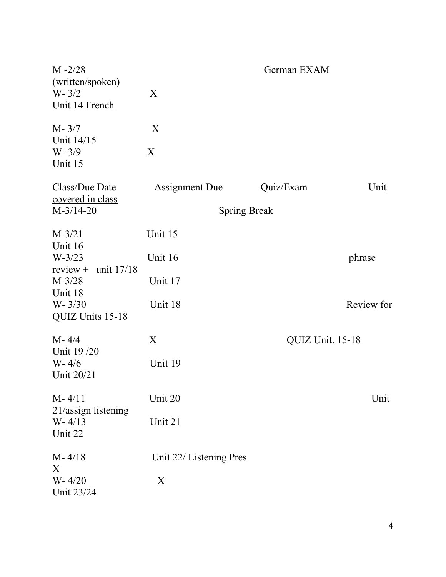| $M - 2/28$<br>(written/spoken)<br>$W - 3/2$<br>Unit 14 French | X                        | German EXAM |                  |  |
|---------------------------------------------------------------|--------------------------|-------------|------------------|--|
| $M - 3/7$<br>Unit 14/15<br>$W - 3/9$<br>Unit 15               | X<br>X                   |             |                  |  |
| Class/Due Date<br>covered in class                            | <b>Assignment Due</b>    | Quiz/Exam   | <u>Unit</u>      |  |
| $M-3/14-20$                                                   | <b>Spring Break</b>      |             |                  |  |
| $M-3/21$<br>Unit 16                                           | Unit 15                  |             |                  |  |
| $W-3/23$<br>$review +$<br>unit 17/18                          | Unit 16                  |             | phrase           |  |
| $M-3/28$<br>Unit 18                                           | Unit 17                  |             |                  |  |
| $W - 3/30$<br>QUIZ Units 15-18                                | Unit 18                  |             | Review for       |  |
| $M - 4/4$<br>Unit 19/20                                       | X                        |             | QUIZ Unit. 15-18 |  |
| $W - 4/6$<br>Unit 20/21                                       | Unit 19                  |             |                  |  |
| $M - 4/11$                                                    | Unit 20                  |             | Unit             |  |
| 21/assign listening<br>$W - 4/13$<br>Unit 22                  | Unit 21                  |             |                  |  |
| $M - 4/18$<br>X                                               | Unit 22/ Listening Pres. |             |                  |  |
| $W - 4/20$<br>Unit 23/24                                      | X                        |             |                  |  |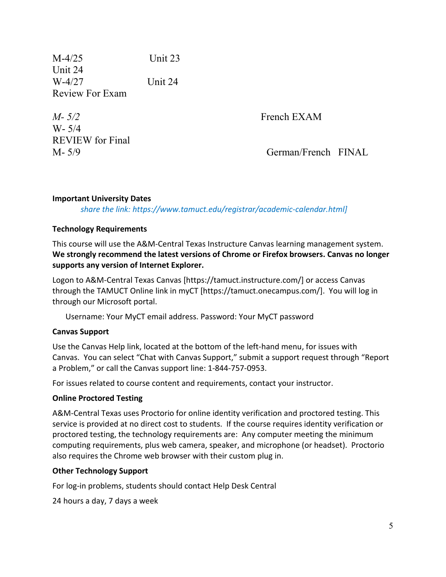M-4/25 Unit 23 Unit 24 W-4/27 Unit 24 Review For Exam

*M-*  $5/2$  **French EXAM** W- 5/4 REVIEW for Final

M- 5/9 German/French FINAL

# **Important University Dates**

*share the link: https://www.tamuct.edu/registrar/academic-calendar.html]*

### **Technology Requirements**

This course will use the A&M-Central Texas Instructure Canvas learning management system. **We strongly recommend the latest versions of Chrome or Firefox browsers. Canvas no longer supports any version of Internet Explorer.**

Logon to A&M-Central Texas Canvas [https://tamuct.instructure.com/] or access Canvas through the TAMUCT Online link in myCT [https://tamuct.onecampus.com/]. You will log in through our Microsoft portal.

Username: Your MyCT email address. Password: Your MyCT password

### **Canvas Support**

Use the Canvas Help link, located at the bottom of the left-hand menu, for issues with Canvas. You can select "Chat with Canvas Support," submit a support request through "Report a Problem," or call the Canvas support line: 1-844-757-0953.

For issues related to course content and requirements, contact your instructor.

### **Online Proctored Testing**

A&M-Central Texas uses Proctorio for online identity verification and proctored testing. This service is provided at no direct cost to students. If the course requires identity verification or proctored testing, the technology requirements are: Any computer meeting the minimum computing requirements, plus web camera, speaker, and microphone (or headset). Proctorio also requires the Chrome web browser with their custom plug in.

### **Other Technology Support**

For log-in problems, students should contact Help Desk Central

24 hours a day, 7 days a week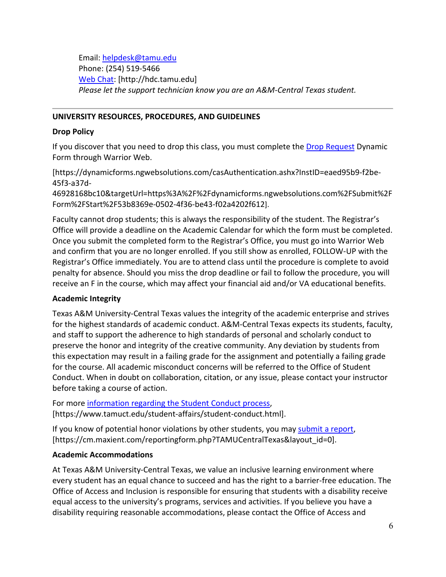Email: [helpdesk@tamu.edu](mailto:helpdesk@tamu.edu) Phone: (254) 519-5466 [Web Chat:](http://hdc.tamu.edu/) [http://hdc.tamu.edu] *Please let the support technician know you are an A&M-Central Texas student.*

### **UNIVERSITY RESOURCES, PROCEDURES, AND GUIDELINES**

### **Drop Policy**

If you discover that you need to drop this class, you must complete the **Drop Request** Dynamic Form through Warrior Web.

[https://dynamicforms.ngwebsolutions.com/casAuthentication.ashx?InstID=eaed95b9-f2be-45f3-a37d-

46928168bc10&targetUrl=https%3A%2F%2Fdynamicforms.ngwebsolutions.com%2FSubmit%2F Form%2FStart%2F53b8369e-0502-4f36-be43-f02a4202f612].

Faculty cannot drop students; this is always the responsibility of the student. The Registrar's Office will provide a deadline on the Academic Calendar for which the form must be completed. Once you submit the completed form to the Registrar's Office, you must go into Warrior Web and confirm that you are no longer enrolled. If you still show as enrolled, FOLLOW-UP with the Registrar's Office immediately. You are to attend class until the procedure is complete to avoid penalty for absence. Should you miss the drop deadline or fail to follow the procedure, you will receive an F in the course, which may affect your financial aid and/or VA educational benefits.

# **Academic Integrity**

Texas A&M University-Central Texas values the integrity of the academic enterprise and strives for the highest standards of academic conduct. A&M-Central Texas expects its students, faculty, and staff to support the adherence to high standards of personal and scholarly conduct to preserve the honor and integrity of the creative community. Any deviation by students from this expectation may result in a failing grade for the assignment and potentially a failing grade for the course. All academic misconduct concerns will be referred to the Office of Student Conduct. When in doubt on collaboration, citation, or any issue, please contact your instructor before taking a course of action.

For more [information](https://nam04.safelinks.protection.outlook.com/?url=https%3A%2F%2Fwww.tamuct.edu%2Fstudent-affairs%2Fstudent-conduct.html&data=04%7C01%7Clisa.bunkowski%40tamuct.edu%7Ccfb6e486f24745f53e1a08d910055cb2%7C9eed4e3000f744849ff193ad8005acec%7C0%7C0%7C637558437485252160%7CUnknown%7CTWFpbGZsb3d8eyJWIjoiMC4wLjAwMDAiLCJQIjoiV2luMzIiLCJBTiI6Ik1haWwiLCJXVCI6Mn0%3D%7C1000&sdata=yjftDEVHvLX%2FhM%2FcFU0B99krV1RgEWR%2BJ%2BhvtoR6TYk%3D&reserved=0) regarding the Student Conduct process, [https://www.tamuct.edu/student-affairs/student-conduct.html].

If you know of potential honor violations by other students, you may [submit](https://nam04.safelinks.protection.outlook.com/?url=https%3A%2F%2Fcm.maxient.com%2Freportingform.php%3FTAMUCentralTexas%26layout_id%3D0&data=04%7C01%7Clisa.bunkowski%40tamuct.edu%7Ccfb6e486f24745f53e1a08d910055cb2%7C9eed4e3000f744849ff193ad8005acec%7C0%7C0%7C637558437485262157%7CUnknown%7CTWFpbGZsb3d8eyJWIjoiMC4wLjAwMDAiLCJQIjoiV2luMzIiLCJBTiI6Ik1haWwiLCJXVCI6Mn0%3D%7C1000&sdata=CXGkOa6uPDPX1IMZ87z3aZDq2n91xfHKu4MMS43Ejjk%3D&reserved=0) a report, [https://cm.maxient.com/reportingform.php?TAMUCentralTexas&layout\_id=0].

# **Academic Accommodations**

At Texas A&M University-Central Texas, we value an inclusive learning environment where every student has an equal chance to succeed and has the right to a barrier-free education. The Office of Access and Inclusion is responsible for ensuring that students with a disability receive equal access to the university's programs, services and activities. If you believe you have a disability requiring reasonable accommodations, please contact the Office of Access and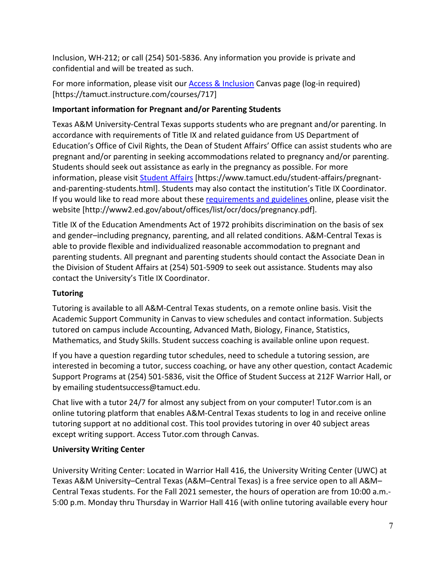Inclusion, WH-212; or call (254) 501-5836. Any information you provide is private and confidential and will be treated as such.

For more information, please visit our [Access & Inclusion](https://tamuct.instructure.com/courses/717) Canvas page (log-in required) [https://tamuct.instructure.com/courses/717]

# **Important information for Pregnant and/or Parenting Students**

Texas A&M University-Central Texas supports students who are pregnant and/or parenting. In accordance with requirements of Title IX and related guidance from US Department of Education's Office of Civil Rights, the Dean of Student Affairs' Office can assist students who are pregnant and/or parenting in seeking accommodations related to pregnancy and/or parenting. Students should seek out assistance as early in the pregnancy as possible. For more information, please visit [Student Affairs](https://www.tamuct.edu/student-affairs/pregnant-and-parenting-students.html) [https://www.tamuct.edu/student-affairs/pregnantand-parenting-students.html]. Students may also contact the institution's Title IX Coordinator. If you would like to read more about thes[e requirements and guidelines](http://www2.ed.gov/about/offices/list/ocr/docs/pregnancy.pdf) online, please visit the website [http://www2.ed.gov/about/offices/list/ocr/docs/pregnancy.pdf].

Title IX of the Education Amendments Act of 1972 prohibits discrimination on the basis of sex and gender–including pregnancy, parenting, and all related conditions. A&M-Central Texas is able to provide flexible and individualized reasonable accommodation to pregnant and parenting students. All pregnant and parenting students should contact the Associate Dean in the Division of Student Affairs at (254) 501-5909 to seek out assistance. Students may also contact the University's Title IX Coordinator.

# **Tutoring**

Tutoring is available to all A&M-Central Texas students, on a remote online basis. Visit the Academic Support Community in Canvas to view schedules and contact information. Subjects tutored on campus include Accounting, Advanced Math, Biology, Finance, Statistics, Mathematics, and Study Skills. Student success coaching is available online upon request.

If you have a question regarding tutor schedules, need to schedule a tutoring session, are interested in becoming a tutor, success coaching, or have any other question, contact Academic Support Programs at (254) 501-5836, visit the Office of Student Success at 212F Warrior Hall, or by emailing studentsuccess@tamuct.edu.

Chat live with a tutor 24/7 for almost any subject from on your computer! Tutor.com is an online tutoring platform that enables A&M-Central Texas students to log in and receive online tutoring support at no additional cost. This tool provides tutoring in over 40 subject areas except writing support. Access Tutor.com through Canvas.

# **University Writing Center**

University Writing Center: Located in Warrior Hall 416, the University Writing Center (UWC) at Texas A&M University–Central Texas (A&M–Central Texas) is a free service open to all A&M– Central Texas students. For the Fall 2021 semester, the hours of operation are from 10:00 a.m.- 5:00 p.m. Monday thru Thursday in Warrior Hall 416 (with online tutoring available every hour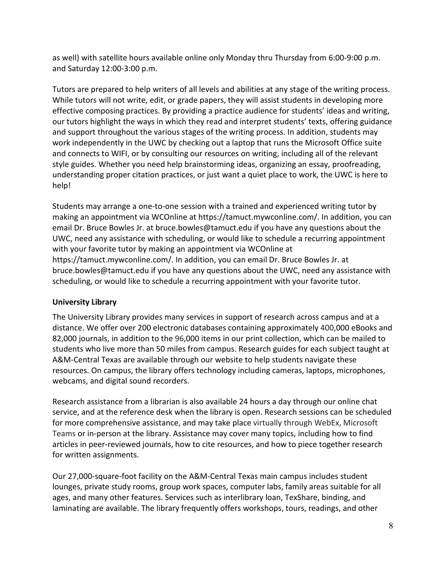as well) with satellite hours available online only Monday thru Thursday from 6:00-9:00 p.m. and Saturday 12:00-3:00 p.m.

Tutors are prepared to help writers of all levels and abilities at any stage of the writing process. While tutors will not write, edit, or grade papers, they will assist students in developing more effective composing practices. By providing a practice audience for students' ideas and writing, our tutors highlight the ways in which they read and interpret students' texts, offering guidance and support throughout the various stages of the writing process. In addition, students may work independently in the UWC by checking out a laptop that runs the Microsoft Office suite and connects to WIFI, or by consulting our resources on writing, including all of the relevant style guides. Whether you need help brainstorming ideas, organizing an essay, proofreading, understanding proper citation practices, or just want a quiet place to work, the UWC is here to help!

Students may arrange a one-to-one session with a trained and experienced writing tutor by making an appointment via WCOnline at https://tamuct.mywconline.com/. In addition, you can email Dr. Bruce Bowles Jr. at bruce.bowles@tamuct.edu if you have any questions about the UWC, need any assistance with scheduling, or would like to schedule a recurring appointment with your favorite tutor by making an appointment via WCOnline at https://tamuct.mywconline.com/. In addition, you can email Dr. Bruce Bowles Jr. at bruce.bowles@tamuct.edu if you have any questions about the UWC, need any assistance with scheduling, or would like to schedule a recurring appointment with your favorite tutor.

# **University Library**

The University Library provides many services in support of research across campus and at a distance. We offer over 200 electronic databases containing approximately 400,000 eBooks and 82,000 journals, in addition to the 96,000 items in our print collection, which can be mailed to students who live more than 50 miles from campus. Research guides for each subject taught at A&M-Central Texas are available through our website to help students navigate these resources. On campus, the library offers technology including cameras, laptops, microphones, webcams, and digital sound recorders.

Research assistance from a librarian is also available 24 hours a day through our online chat service, and at the reference desk when the library is open. Research sessions can be scheduled for more comprehensive assistance, and may take place virtually through WebEx, Microsoft Teams or in-person at the library. Assistance may cover many topics, including how to find articles in peer-reviewed journals, how to cite resources, and how to piece together research for written assignments.

Our 27,000-square-foot facility on the A&M-Central Texas main campus includes student lounges, private study rooms, group work spaces, computer labs, family areas suitable for all ages, and many other features. Services such as interlibrary loan, TexShare, binding, and laminating are available. The library frequently offers workshops, tours, readings, and other